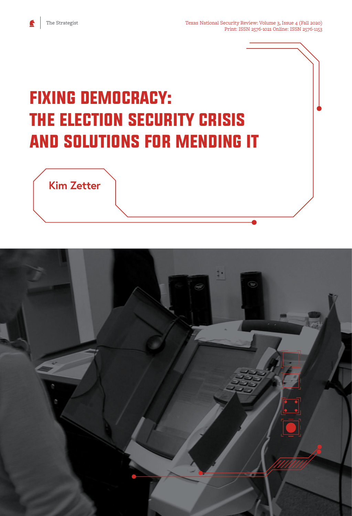e

# Fixing Democracy: The Election Security Crisis and Solutions for Mending It



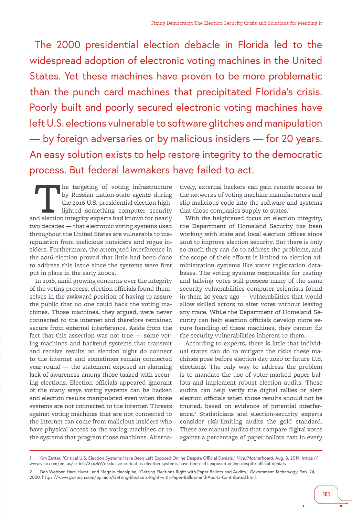The 2000 presidential election debacle in Florida led to the widespread adoption of electronic voting machines in the United States. Yet these machines have proven to be more problematic than the punch card machines that precipitated Florida's crisis. Poorly built and poorly secured electronic voting machines have left U.S. elections vulnerable to software glitches and manipulation — by foreign adversaries or by malicious insiders — for 20 years. An easy solution exists to help restore integrity to the democratic process. But federal lawmakers have failed to act.

The targeting of voting infrastructure<br>by Russian nation-state agents during<br>the 2016 U.S. presidential election high-<br>lighted something computer security<br>and election integrity experts had known for nearly by Russian nation-state agents during the 2016 U.S. presidential election highlighted something computer security two decades — that electronic voting systems used throughout the United States are vulnerable to manipulation from malicious outsiders and rogue insiders. Furthermore, the attempted interference in the 2016 election proved that little had been done to address this issue since the systems were first put in place in the early 2000s.

In 2016, amid growing concerns over the integrity of the voting process, election officials found themselves in the awkward position of having to assure the public that no one could hack the voting machines. Those machines, they argued, were never connected to the internet and therefore remained secure from external interference. Aside from the fact that this assertion was not true — some voting machines and backend systems that transmit and receive results on election night do connect to the internet and sometimes remain connected year-round — the statement exposed an alarming lack of awareness among those tasked with securing elections. Election officials appeared ignorant of the many ways voting systems can be hacked and election results manipulated even when those systems are not connected to the internet. Threats against voting machines that are not connected to the internet can come from malicious insiders who have physical access to the voting machines or to the systems that program those machines. Alterna-

tively, external hackers can gain remote access to the networks of voting machine manufacturers and slip malicious code into the software and systems that those companies supply to states.<sup>1</sup>

With the heightened focus on election integrity, the Department of Homeland Security has been working with state and local election offices since 2016 to improve election security. But there is only so much they can do to address the problems, and the scope of their efforts is limited to election administration systems like voter registration databases. The voting systems responsible for casting and tallying votes still possess many of the same security vulnerabilities computer scientists found in them 20 years ago — vulnerabilities that would allow skilled actors to alter votes without leaving any trace. While the Department of Homeland Security can help election officials develop more secure handling of these machines, they cannot fix the security vulnerabilities inherent to them.

According to experts, there is little that individual states can do to mitigate the risks these machines pose before election day 2020 or future U.S. elections. The only way to address the problem is to mandate the use of voter-marked paper ballots and implement robust election audits. These audits can help verify the digital tallies or alert election officials when those results should not be trusted, based on evidence of potential interference.<sup>2</sup> Statisticians and election-security experts consider risk-limiting audits the gold standard. These are manual audits that compare digital votes against a percentage of paper ballots cast in every

<sup>1</sup> Kim Zetter, "Critical U.S. Election Systems Have Been Left Exposed Online Despite Official Denials," *Vice/Motherboard*, Aug. 8, 2019, [https://](https://www.vice.com/en_us/article/3kxzk9/exclusive-critical-us-election-systems-have-been-left-exposed-online-despite-official-denials) [www.vice.com/en\\_us/article/3kxzk9/exclusive-critical-us-election-systems-have-been-left-exposed-online-despite-official-denials.](https://www.vice.com/en_us/article/3kxzk9/exclusive-critical-us-election-systems-have-been-left-exposed-online-despite-official-denials)

<sup>2</sup> Dan Webber, Harri Hursti, and Maggie Macalpine, "Getting Elections Right with Paper Ballots and Audits," *Government Technology*, Feb. 24, 2020, <https://www.govtech.com/opinion/Getting-Elections-Right-with-Paper-Ballots-and-Audits-Contributed.html>.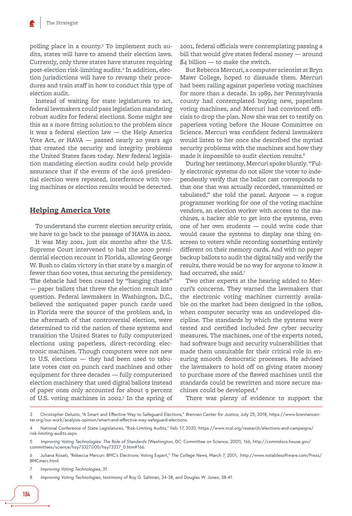polling place in a county.<sup>3</sup> To implement such audits, states will have to amend their election laws. Currently, only three states have statutes requiring post-election risk-limiting audits.4 In addition, election jurisdictions will have to revamp their procedures and train staff in how to conduct this type of election audit.

Instead of waiting for state legislatures to act, federal lawmakers could pass legislation mandating robust audits for federal elections. Some might see this as a more fitting solution to the problem since it was a federal election law — the Help America Vote Act, or HAVA — passed nearly 20 years ago that created the security and integrity problems the United States faces today. New federal legislation mandating election audits could help provide assurance that if the events of the 2016 presidential election were repeated, interference with voting machines or election results would be detected.

#### **Helping America Vote**

To understand the current election security crisis, we have to go back to the passage of HAVA in 2002.

It was May 2001, just six months after the U.S. Supreme Court intervened to halt the 2000 presidential election recount in Florida, allowing George W. Bush to claim victory in that state by a margin of fewer than 600 votes, thus securing the presidency. The debacle had been caused by "hanging chads" — paper ballots that threw the election result into question. Federal lawmakers in Washington, D.C., believed the antiquated paper punch cards used in Florida were the source of the problem and, in the aftermath of that controversial election, were determined to rid the nation of these systems and transition the United States to fully computerized elections using paperless, direct-recording electronic machines. Though computers were not new to U.S. elections — they had been used to tabulate votes cast on punch card machines and other equipment for three decades — fully computerized election machinery that used digital ballots instead of paper ones only accounted for about 9 percent of U.S. voting machines in 2002.<sup>5</sup> In the spring of 2001, federal officials were contemplating passing a bill that would give states federal money — around \$4 billion — to make the switch.

But Rebecca Mercuri, a computer scientist at Bryn Mawr College, hoped to dissuade them. Mercuri had been railing against paperless voting machines for more than a decade. In 1989, her Pennsylvania county had contemplated buying new, paperless voting machines, and Mercuri had convinced officials to drop the plan. Now she was set to testify on paperless voting before the House Committee on Science. Mercuri was confident federal lawmakers would listen to her once she described the myriad security problems with the machines and how they made it impossible to audit election results.<sup>6</sup>

During her testimony, Mercuri spoke bluntly. "Fully electronic systems do not allow the voter to independently verify that the ballot cast corresponds to that one that was actually recorded, transmitted or tabulated," she told the panel. Anyone — a rogue programmer working for one of the voting machine vendors, an election worker with access to the machines, a hacker able to get into the systems, even one of her own students — could write code that would cause the systems to display one thing onscreen to voters while recording something entirely different on their memory cards. And with no paper backup ballots to audit the digital tally and verify the results, there would be no way for anyone to know it had occurred, she said.7

Two other experts at the hearing added to Mercuri's concerns. They warned the lawmakers that the electronic voting machines currently available on the market had been designed in the 1980s, when computer security was an undeveloped discipline. The standards by which the systems were tested and certified included few cyber security measures. The machines, one of the experts noted, had software bugs and security vulnerabilities that made them unsuitable for their critical role in ensuring smooth democratic processes. He advised the lawmakers to hold off on giving states money to purchase more of the flawed machines until the standards could be rewritten and more secure machines could be developed.<sup>8</sup>

There was plenty of evidence to support the

7 *Improving Voting Technologies*, 31.

8 *Improving Voting Technologies*, testimony of Roy G. Saltman, 34-38, and Douglas W. Jones, 38-41.

<sup>3</sup> Christopher Deluzio, "A Smart and Effective Way to Safeguard Elections," *Brennan Center for Justice*, July 25, 2018, [https://www.brennancen](https://www.brennancenter.org/our-work/analysis-opinion/smart-and-effective-way-safeguard-elections)[ter.org/our-work/analysis-opinion/smart-and-effective-way-safeguard-elections.](https://www.brennancenter.org/our-work/analysis-opinion/smart-and-effective-way-safeguard-elections)

<sup>4</sup> National Conference of State Legislatures, "Risk-Limiting Audits," Feb. 17, 2020, [https://www.ncsl.org/research/elections-and-campaigns/](https://www.ncsl.org/research/elections-and-campaigns/risk-limiting-audits.aspx) [risk-limiting-audits.aspx.](https://www.ncsl.org/research/elections-and-campaigns/risk-limiting-audits.aspx)

<sup>5</sup> *Improving Voting Technologies: The Role of Standards* (Washington, DC: Committee on Science, 2001), 166, [http://commdocs.house.gov/](http://commdocs.house.gov/committees/science/hsy73327.000/hsy73327_0.htm%2523166) [committees/science/hsy73327.000/hsy73327\\_0.htm#166](http://commdocs.house.gov/committees/science/hsy73327.000/hsy73327_0.htm%2523166).

<sup>6</sup> Juliana Rosati, "Rebecca Mercuri: BMC's Electronic Voting Expert," *The College News*, March 7, 2001, [http://www.notablesoftware.com/Press/](http://www.notablesoftware.com/Press/BMCmerc.html) [BMCmerc.html.](http://www.notablesoftware.com/Press/BMCmerc.html)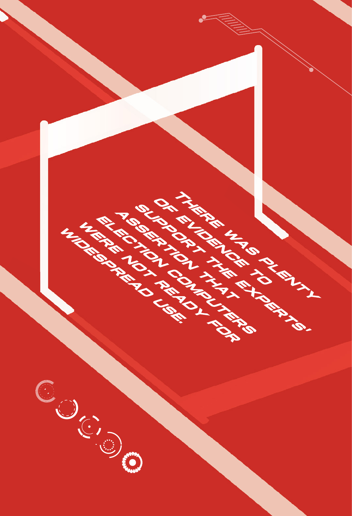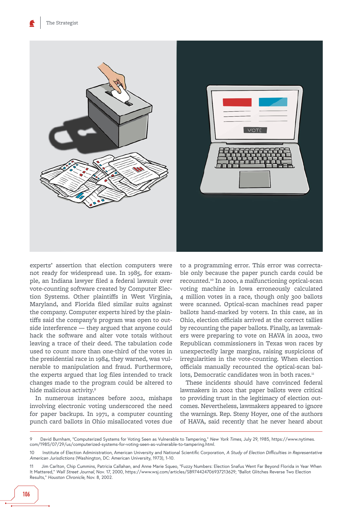

experts' assertion that election computers were not ready for widespread use. In 1985, for example, an Indiana lawyer filed a federal lawsuit over vote-counting software created by Computer Election Systems. Other plaintiffs in West Virginia, Maryland, and Florida filed similar suits against the company. Computer experts hired by the plaintiffs said the company's program was open to outside interference — they argued that anyone could hack the software and alter vote totals without leaving a trace of their deed. The tabulation code used to count more than one-third of the votes in the presidential race in 1984, they warned, was vulnerable to manipulation and fraud. Furthermore, the experts argued that log files intended to track changes made to the program could be altered to hide malicious activity.9

In numerous instances before 2002, mishaps involving electronic voting underscored the need for paper backups. In 1971, a computer counting punch card ballots in Ohio misallocated votes due

to a programming error. This error was correctable only because the paper punch cards could be recounted.10 In 2000, a malfunctioning optical-scan voting machine in Iowa erroneously calculated 4 million votes in a race, though only 300 ballots were scanned. Optical-scan machines read paper ballots hand-marked by voters. In this case, as in Ohio, election officials arrived at the correct tallies by recounting the paper ballots. Finally, as lawmakers were preparing to vote on HAVA in 2002, two Republican commissioners in Texas won races by unexpectedly large margins, raising suspicions of irregularities in the vote-counting. When election officials manually recounted the optical-scan ballots, Democratic candidates won in both races.<sup>11</sup>

These incidents should have convinced federal lawmakers in 2002 that paper ballots were critical to providing trust in the legitimacy of election outcomes. Nevertheless, lawmakers appeared to ignore the warnings. Rep. Steny Hoyer, one of the authors of HAVA, said recently that he never heard about

<sup>9</sup> David Burnham, "Computerized Systems for Voting Seen as Vulnerable to Tampering," *New York Times*, July 29, 1985, [https://www.nytimes.](https://www.nytimes.com/1985/07/29/us/computerized-systems-for-voting-seen-as-vulnerable-to-tampering.html) [com/1985/07/29/us/computerized-systems-for-voting-seen-as-vulnerable-to-tampering.html.](https://www.nytimes.com/1985/07/29/us/computerized-systems-for-voting-seen-as-vulnerable-to-tampering.html)

<sup>10</sup> Institute of Election Administration, American University and National Scientific Corporation, *A Study of Election Difficulties in Representative American Jurisdictions* (Washington, DC: American University, 1973), 1-10.

<sup>11</sup> Jim Carlton, Chip Cummins, Patricia Callahan, and Anne Marie Squeo, "Fuzzy Numbers: Election Snafus Went Far Beyond Florida in Year When It Mattered," *Wall Street Journal*, Nov. 17, 2000, [https://www.wsj.com/articles/SB974424706937213629;](https://www.wsj.com/articles/SB974424706937213629) "Ballot Glitches Reverse Two Election Results," *Houston Chronicle*, Nov. 8, 2002.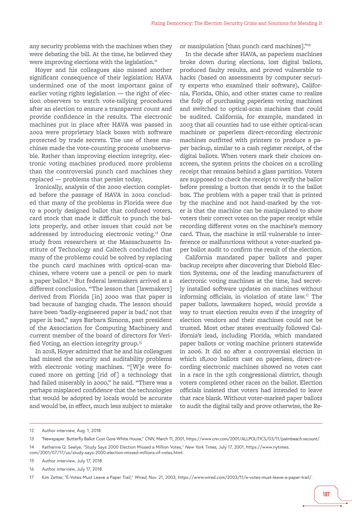any security problems with the machines when they were debating the bill. At the time, he believed they were improving elections with the legislation.<sup>12</sup>

Hoyer and his colleagues also missed another significant consequence of their legislation: HAVA undermined one of the most important gains of earlier voting rights legislation — the right of election observers to watch vote-tallying procedures after an election to ensure a transparent count and provide confidence in the results. The electronic machines put in place after HAVA was passed in 2002 were proprietary black boxes with software protected by trade secrets. The use of these machines made the vote-counting process unobservable. Rather than improving election integrity, electronic voting machines produced more problems than the controversial punch card machines they replaced — problems that persist today.

Ironically, analysis of the 2000 election completed before the passage of HAVA in 2002 concluded that many of the problems in Florida were due to a poorly designed ballot that confused voters, card stock that made it difficult to punch the ballots properly, and other issues that could not be addressed by introducing electronic voting.13 One study from researchers at the Massachusetts Institute of Technology and Caltech concluded that many of the problems could be solved by replacing the punch card machines with optical-scan machines, where voters use a pencil or pen to mark a paper ballot.<sup>14</sup> But federal lawmakers arrived at a different conclusion. "The lesson that [lawmakers] derived from Florida [in] 2000 was that paper is bad because of hanging chads. The lesson should have been 'badly-engineered paper is bad,' not that paper is bad," says Barbara Simons, past president of the Association for Computing Machinery and current member of the board of directors for Verified Voting, an election integrity group.<sup>15</sup>

In 2018, Hoyer admitted that he and his colleagues had missed the security and auditability problems with electronic voting machines. "[W]e were focused more on getting [rid of] a technology that had failed miserably in 2000," he said. "There was a perhaps misplaced confidence that the technologies that would be adopted by locals would be accurate and would be, in effect, much less subject to mistake

or manipulation [than punch card machines]."16

In the decade after HAVA, as paperless machines broke down during elections, lost digital ballots, produced faulty results, and proved vulnerable to hacks (based on assessments by computer security experts who examined their software), California, Florida, Ohio, and other states came to realize the folly of purchasing paperless voting machines and switched to optical-scan machines that could be audited. California, for example, mandated in 2003 that all counties had to use either optical-scan machines or paperless direct-recording electronic machines outfitted with printers to produce a paper backup, similar to a cash register receipt, of the digital ballots. When voters mark their choices onscreen, the system prints the choices on a scrolling receipt that remains behind a glass partition. Voters are supposed to check the receipt to verify the ballot before pressing a button that sends it to the ballot box. The problem with a paper trail that is printed by the machine and not hand-marked by the voter is that the machine can be manipulated to show voters their correct votes on the paper receipt while recording different votes on the machine's memory card. Thus, the machine is still vulnerable to interference or malfunctions without a voter-marked paper ballot audit to confirm the result of the election.

California mandated paper ballots and paper backup receipts after discovering that Diebold Election Systems, one of the leading manufacturers of electronic voting machines at the time, had secretly installed software updates on machines without informing officials, in violation of state law.17 The paper ballots, lawmakers hoped, would provide a way to trust election results even if the integrity of election vendors and their machines could not be trusted. Most other states eventually followed California's lead, including Florida, which mandated paper ballots or voting machine printers statewide in 2006. It did so after a controversial election in which 18,000 ballots cast on paperless, direct-recording electronic machines showed no votes cast in a race in the 13th congressional district, though voters completed other races on the ballot. Election officials insisted that voters had intended to leave that race blank. Without voter-marked paper ballots to audit the digital tally and prove otherwise, the Re-

<sup>12</sup> Author interview, Aug. 1, 2018.

<sup>13 &</sup>quot;Newspaper: Butterfly Ballot Cost Gore White House," *CNN*, March 11, 2001, <https://www.cnn.com/2001/ALLPOLITICS/03/11/palmbeach.recount/>.

<sup>14</sup> Katharine Q. Seelye, "Study Says 2000 Election Missed a Million Votes," *New York Times*, July 17, 2001, [https://www.nytimes.](https://www.nytimes.com/2001/07/17/us/study-says-2000-election-missed-millions-of-votes.html)

[com/2001/07/17/us/study-says-2000-election-missed-millions-of-votes.html.](https://www.nytimes.com/2001/07/17/us/study-says-2000-election-missed-millions-of-votes.html)

<sup>15</sup> Author interview, July 17, 2018.

<sup>16</sup> Author interview, July 17, 2018.

<sup>17</sup> Kim Zetter, "E-Votes Must Leave a Paper Trail," *Wired*, Nov. 21, 2003, [https://www.wired.com/2003/11/e-votes-must-leave-a-paper-trail/.](https://www.wired.com/2003/11/e-votes-must-leave-a-paper-trail/)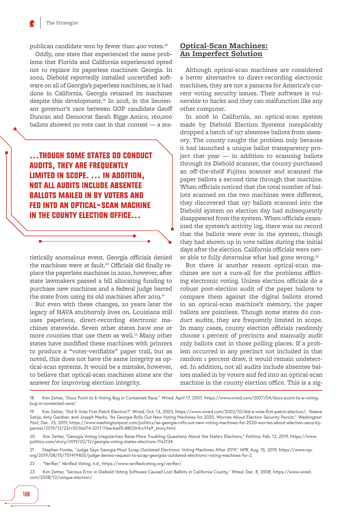publican candidate won by fewer than 400 votes.<sup>18</sup>

Oddly, one state that experienced the same problems that Florida and California experienced opted not to replace its paperless machines: Georgia. In 2002, Diebold reportedly installed uncertified software on all of Georgia's paperless machines, as it had done in California. Georgia retained its machines despite this development.<sup>19</sup> In 2018, in the lieutenant governor's race between GOP candidate Geoff Duncan and Democrat Sarah Riggs Amico, 160,000 ballots showed no vote cast in that contest — a sta-

...THOUGH SOME STATES DO CONDUCT **AUDITS, THEY ARE FREQUENTLY** LIMITED IN SCOPE. ... IN ADDITION, **NOT ALL AUDITS INCLUDE ABSENTEE BALLOTS MAILED IN BY VOTERS AND FED INTO AN OPTICAL-SCAN MACHINE** IN THE COUNTY ELECTION OFFICE...

tistically anomalous event. Georgia officials denied the machines were at fault.<sup>20</sup> Officials did finally replace the paperless machines in 2020, however, after state lawmakers passed a bill allocating funding to purchase new machines and a federal judge barred the state from using its old machines after 2019.<sup>21</sup>

But even with these changes, 20 years later the legacy of HAVA stubbornly lives on. Louisiana still uses paperless, direct-recording electronic machines statewide. Seven other states have one or more counties that use them as well.<sup>22</sup> Many other states have modified these machines with printers to produce a "voter-verifiable" paper trail, but as noted, this does not have the same integrity as optical-scan systems. It would be a mistake, however, to believe that optical-scan machines alone are the answer for improving election integrity.

## **Optical-Scan Machines: An Imperfect Solution**

Although optical-scan machines are considered a better alternative to direct-recording electronic machines, they are not a panacea for America's current voting security issues. Their software is vulnerable to hacks and they can malfunction like any other computer.

In 2008 in California, an optical-scan system made by Diebold Election Systems inexplicably dropped a batch of 197 absentee ballots from memory. The county caught the problem only because it had launched a unique ballot transparency project that year — in addition to scanning ballots through its Diebold scanner, the county purchased an off-the-shelf Fujitsu scanner and scanned the paper ballots a second time through that machine. When officials noticed that the total number of ballots scanned on the two machines were different, they discovered that 197 ballots scanned into the Diebold system on election day had subsequently disappeared from the system. When officials examined the system's activity log, there was no record that the ballots were ever in the system, though they had shown up in vote tallies during the initial days after the election. California officials were never able to fully determine what had gone wrong.<sup>23</sup>

But there is another reason optical-scan machines are not a cure-all for the problems afflicting electronic voting. Unless election officials do a robust post-election audit of the paper ballots to compare them against the digital ballots stored in an optical-scan machine's memory, the paper ballots are pointless. Though some states do conduct audits, they are frequently limited in scope. In many cases, county election officials randomly choose 1 percent of precincts and manually audit only ballots cast in those polling places. If a problem occurred in any precinct not included in that random 1 percent draw, it would remain undetected. In addition, not all audits include absentee ballots mailed in by voters and fed into an optical-scan machine in the county election office. This is a sig-

18 Kim Zetter, "Docs Point to E-Voting Bug in Contested Race," *Wired*, April 17, 2007, [https://www.wired.com/2007/04/docs-point-to-e-voting](https://www.wired.com/2007/04/docs-point-to-e-voting-bug-in-contested-race/)[bug-in-contested-race/](https://www.wired.com/2007/04/docs-point-to-e-voting-bug-in-contested-race/).

<sup>19</sup> Kim Zetter, "Did E-Vote Firm Patch Election?" *Wired*, Oct. 13, 2003, [https://www.wired.com/2003/10/did-e-vote-firm-patch-election/;](https://www.wired.com/2003/10/did-e-vote-firm-patch-election/) Neena Satija, Amy Gardner, and Joseph Marks, "As Georgia Rolls Out New Voting Machines for 2020, Worries About Election Security Persist," *Washington Post*, Dec. 23, 2019, [https://www.washingtonpost.com/politics/as-georgia-rolls-out-new-voting-machines-for-2020-worries-about-election-security](https://www.washingtonpost.com/politics/as-georgia-rolls-out-new-voting-machines-for-2020-worries-about-election-security-persist/2019/12/23/c5036d74-2017-11ea-bed5-880264cc91a9_story.html)[persist/2019/12/23/c5036d74-2017-11ea-bed5-880264cc91a9\\_story.html](https://www.washingtonpost.com/politics/as-georgia-rolls-out-new-voting-machines-for-2020-worries-about-election-security-persist/2019/12/23/c5036d74-2017-11ea-bed5-880264cc91a9_story.html).

<sup>20</sup> Kim Zetter, "Georgia Voting Irregularities Raise More Troubling Questions About the State's Elections," *Politico*, Feb. 12, 2019, [https://www.](https://www.politico.com/story/2019/02/12/georgia-voting-states-elections-1162134) [politico.com/story/2019/02/12/georgia-voting-states-elections-1162134.](https://www.politico.com/story/2019/02/12/georgia-voting-states-elections-1162134)

<sup>21</sup> Stephen Fowler, "Judge Says Georgia Must Scrap Outdated Electronic Voting Machines After 2019," *NPR*, Aug. 15, 2019, [https://www.npr.](https://www.npr.org/2019/08/15/751419405/judge-denies-request-to-scrap-georgias-outdated-electronic-voting-machines-for-2) [org/2019/08/15/751419405/judge-denies-request-to-scrap-georgias-outdated-electronic-voting-machines-for-2](https://www.npr.org/2019/08/15/751419405/judge-denies-request-to-scrap-georgias-outdated-electronic-voting-machines-for-2).

<sup>22 &</sup>quot;Verifier," *Verified Voting*, n.d., <https://www.verifiedvoting.org/verifier/>.

<sup>23</sup> Kim Zetter, "Serious Error in Diebold Voting Software Caused Lost Ballots in California County," *Wired*, Dec. 8, 2008, [https://www.wired.](https://www.wired.com/2008/12/unique-election/) [com/2008/12/unique-election/](https://www.wired.com/2008/12/unique-election/).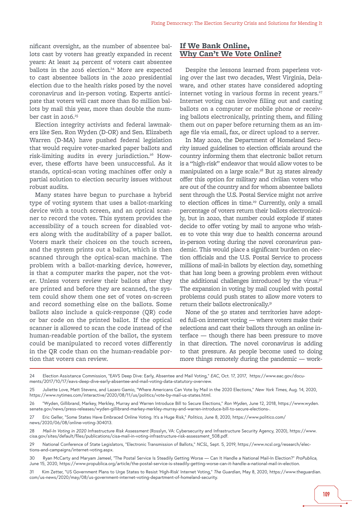nificant oversight, as the number of absentee ballots cast by voters has greatly expanded in recent years: At least 24 percent of voters cast absentee ballots in the 2016 election.<sup>24</sup> More are expected to cast absentee ballots in the 2020 presidential election due to the health risks posed by the novel coronavirus and in-person voting. Experts anticipate that voters will cast more than 80 million ballots by mail this year, more than double the number cast in  $2016.^{25}$ 

Election integrity activists and federal lawmakers like Sen. Ron Wyden (D-OR) and Sen. Elizabeth Warren (D-MA) have pushed federal legislation that would require voter-marked paper ballots and risk-limiting audits in every jurisdiction.<sup>26</sup> However, these efforts have been unsuccessful. As it stands, optical-scan voting machines offer only a partial solution to election security issues without robust audits.

Many states have begun to purchase a hybrid type of voting system that uses a ballot-marking device with a touch screen, and an optical scanner to record the votes. This system provides the accessibility of a touch screen for disabled voters along with the auditability of a paper ballot. Voters mark their choices on the touch screen, and the system prints out a ballot, which is then scanned through the optical-scan machine. The problem with a ballot-marking device, however, is that a computer marks the paper, not the voter. Unless voters review their ballots after they are printed and before they are scanned, the system could show them one set of votes on-screen and record something else on the ballots. Some ballots also include a quick-response (QR) code or bar code on the printed ballot. If the optical scanner is allowed to scan the code instead of the human-readable portion of the ballot, the system could be manipulated to record votes differently in the QR code than on the human-readable portion that voters can review.

### **If We Bank Online, Why Can't We Vote Online?**

Despite the lessons learned from paperless voting over the last two decades, West Virginia, Delaware, and other states have considered adopting internet voting in various forms in recent years.<sup>27</sup> Internet voting can involve filling out and casting ballots on a computer or mobile phone or receiving ballots electronically, printing them, and filling them out on paper before returning them as an image file via email, fax, or direct upload to a server.

In May 2020, the Department of Homeland Security issued guidelines to election officials around the country informing them that electronic ballot return is a "high-risk" endeavor that would allow votes to be manipulated on a large scale.<sup>28</sup> But 23 states already offer this option for military and civilian voters who are out of the country and for whom absentee ballots sent through the U.S. Postal Service might not arrive to election offices in time.<sup>29</sup> Currently, only a small percentage of voters return their ballots electronically, but in 2020, that number could explode if states decide to offer voting by mail to anyone who wishes to vote this way due to health concerns around in-person voting during the novel coronavirus pandemic. This would place a significant burden on election officials and the U.S. Postal Service to process millions of mail-in ballots by election day, something that has long been a growing problem even without the additional challenges introduced by the virus.<sup>30</sup> The expansion in voting by mail coupled with postal problems could push states to allow more voters to return their ballots electronically.31

None of the 50 states and territories have adopted full-on internet voting — where voters make their selections and cast their ballots through an online interface — though there has been pressure to move in that direction. The novel coronavirus is adding to that pressure. As people become used to doing more things remotely during the pandemic — work-

- 28 *Mail-In Voting in 2020 Infrastructure Risk Assessment* (Rosslyn, VA: Cybersecurity and Infrastructure Security Agency, 2020), [https://www.](https://www.cisa.gov/sites/default/files/publications/cisa-mail-in-voting-infrastructure-risk-assessment_508.pdf) [cisa.gov/sites/default/files/publications/cisa-mail-in-voting-infrastructure-risk-assessment\\_508.pdf.](https://www.cisa.gov/sites/default/files/publications/cisa-mail-in-voting-infrastructure-risk-assessment_508.pdf)
- 29 National Conference of State Legislators, "Electronic Transmission of Ballots," *NCSL*, Sept. 5, 2019, [https://www.ncsl.org/research/elec](https://www.ncsl.org/research/elections-and-campaigns/internet-voting.aspx)[tions-and-campaigns/internet-voting.aspx.](https://www.ncsl.org/research/elections-and-campaigns/internet-voting.aspx)
- 30 Ryan McCarty and Maryam Jameel, "The Postal Service Is Steadily Getting Worse Can It Handle a National Mail-In Election?" *ProPublica*, June 15, 2020, [https://www.propublica.org/article/the-postal-service-is-steadily-getting-worse-can-it-handle-a-national-mail-in-election.](https://www.propublica.org/article/the-postal-service-is-steadily-getting-worse-can-it-handle-a-national-mail-in-election)
- 31 Kim Zetter, "US Government Plans to Urge States to Resist 'High-Risk' Internet Voting," *The Guardian*, May 8, 2020, [https://www.theguardian.](https://www.theguardian.com/us-news/2020/may/08/us-government-internet-voting-department-of-homeland-security) [com/us-news/2020/may/08/us-government-internet-voting-department-of-homeland-security.](https://www.theguardian.com/us-news/2020/may/08/us-government-internet-voting-department-of-homeland-security)

<sup>24</sup> Election Assistance Commission, "EAVS Deep Dive: Early, Absentee and Mail Voting," *EAC*, Oct. 17, 2017, [https://www.eac.gov/docu](https://www.eac.gov/documents/2017/10/17/eavs-deep-dive-early-absentee-and-mail-voting-data-statutory-overview)[ments/2017/10/17/eavs-deep-dive-early-absentee-and-mail-voting-data-statutory-overview.](https://www.eac.gov/documents/2017/10/17/eavs-deep-dive-early-absentee-and-mail-voting-data-statutory-overview)

<sup>25</sup> Juliette Love, Matt Stevens, and Lazaro Gamio, "Where Americans Can Vote by Mail in the 2020 Elections," *New York Times*, Aug. 14, 2020, [https://www.nytimes.com/interactive/2020/08/11/us/politics/vote-by-mail-us-states.html.](https://www.nytimes.com/interactive/2020/08/11/us/politics/vote-by-mail-us-states.html)

<sup>26 &</sup>quot;Wyden, Gillibrand, Markey, Merkley, Murray and Warren Introduce Bill to Secure Elections," *Ron Wyden*, June 12, 2018, [https://www.wyden.](https://www.wyden.senate.gov/news/press-releases/wyden-gillibrand-markey-merkley-murray-and-warren-introduce-bill-to-secure-elections-) [senate.gov/news/press-releases/wyden-gillibrand-markey-merkley-murray-and-warren-introduce-bill-to-secure-elections-](https://www.wyden.senate.gov/news/press-releases/wyden-gillibrand-markey-merkley-murray-and-warren-introduce-bill-to-secure-elections-).

<sup>27</sup> Eric Geller, "Some States Have Embraced Online Voting. It's a Huge Risk," *Politico*, June 8, 2020, [https://www.politico.com/](https://www.politico.com/news/2020/06/08/online-voting-304013) [news/2020/06/08/online-voting-304013.](https://www.politico.com/news/2020/06/08/online-voting-304013)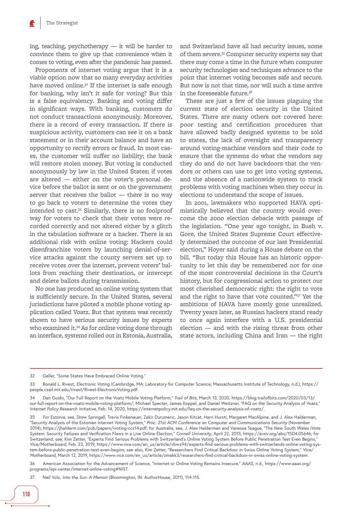ing, teaching, psychotherapy — it will be harder to convince them to give up that convenience when it comes to voting, even after the pandemic has passed.

Proponents of internet voting argue that it is a viable option now that so many everyday activities have moved online.<sup>32</sup> If the internet is safe enough for banking, why isn't it safe for voting? But this is a false equivalency. Banking and voting differ in significant ways. With banking, customers do not conduct transactions anonymously. Moreover, there is a record of every transaction. If there is suspicious activity, customers can see it on a bank statement or in their account balance and have an opportunity to rectify errors or fraud. In most cases, the customer will suffer no liability; the bank will restore stolen money. But voting is conducted anonymously by law in the United States; if votes are altered — either on the voter's personal device before the ballot is sent or on the government server that receives the ballot — there is no way to go back to voters to determine the votes they intended to cast.33 Similarly, there is no foolproof way for voters to check that their votes were recorded correctly and not altered either by a glitch in the tabulation software or a hacker. There is an additional risk with online voting: Hackers could disenfranchise voters by launching denial-of-service attacks against the county servers set up to receive votes over the internet, prevent voters' ballots from reaching their destination, or intercept and delete ballots during transmission.

No one has produced an online voting system that is sufficiently secure. In the United States, several jurisdictions have piloted a mobile phone voting application called Voatz. But that system was recently shown to have serious security issues by experts who examined it.<sup>34</sup> As for online voting done through an interface, systems rolled out in Estonia, Australia,

and Switzerland have all had security issues, some of them severe.<sup>35</sup> Computer security experts say that there may come a time in the future when computer security technologies and techniques advance to the point that internet voting becomes safe and secure. But now is not that time, nor will such a time arrive in the foreseeable future.<sup>36</sup>

These are just a few of the issues plaguing the current state of election security in the United States. There are many others not covered here: poor testing and certification procedures that have allowed badly designed systems to be sold to states, the lack of oversight and transparency around voting-machine vendors and their code to ensure that the systems do what the vendors say they do and do not have backdoors that the vendors or others can use to get into voting systems, and the absence of a nationwide system to track problems with voting machines when they occur in elections to understand the scope of issues.

In 2001, lawmakers who supported HAVA optimistically believed that the country would overcome the 2000 election debacle with passage of the legislation. "One year ago tonight, in Bush v. Gore, the United States Supreme Court effectively determined the outcome of our last Presidential election," Hoyer said during a House debate on the bill. "But today this House has an historic opportunity to let this day be remembered not for one of the most controversial decisions in the Court's history, but for congressional action to protect our most cherished democratic right: the right to vote and the right to have that vote counted."37 Yet the ambitions of HAVA have mostly gone unrealized. Twenty years later, as Russian hackers stand ready to once again interfere with a U.S. presidential election — and with the rising threat from other state actors, including China and Iran — the right

32 Geller, "Some States Have Embraced Online Voting."

36 American Association for the Advancement of Science, "Internet or Online Voting Remains Insecure," *AAAS*, n.d., [https://www.aaas.org/](https://www.aaas.org/programs/epi-center/internet-online-voting%2523NIST) [programs/epi-center/internet-online-voting#NIST.](https://www.aaas.org/programs/epi-center/internet-online-voting%2523NIST)

37 Neil Volz, *Into the Sun: A Memoir* (Bloomington, IN: AuthorHouse, 2011), 114-115.

<sup>33</sup> Ronald L. Rivest, *Electronic Voting* (Cambridge, MA: Laboratory for Computer Science, Massachusetts Institute of Technology, n.d.), [https://](https://people.csail.mit.edu/rivest/Rivest-ElectronicVoting.pdf) [people.csail.mit.edu/rivest/Rivest-ElectronicVoting.pdf](https://people.csail.mit.edu/rivest/Rivest-ElectronicVoting.pdf).

<sup>34</sup> Dan Guido, "Our Full Report on the Voatz Mobile Voting Platform," *Trail of Bits*, March 13, 2020, [https://blog.trailofbits.com/2020/03/13/](https://blog.trailofbits.com/2020/03/13/our-full-report-on-the-voatz-mobile-voting-platform/) [our-full-report-on-the-voatz-mobile-voting-platform/](https://blog.trailofbits.com/2020/03/13/our-full-report-on-the-voatz-mobile-voting-platform/); Michael Specter, James Koppel, and Daniel Weitzner, "FAQ on the Security Analysis of Voatz," *Internet Policy Research Initiative*, Feb. 14, 2020, [https://internetpolicy.mit.edu/faq-on-the-security-analysis-of-voatz/.](https://internetpolicy.mit.edu/faq-on-the-security-analysis-of-voatz/)

<sup>35</sup> For Estonia, see, Drew Springall, Travis Finkenauer, Zakir Durumeric, Jason Kitcat, Harri Hursti, Margaret MacAlpine, and J. Alex Halderman, "Security Analysis of the Estonian Internet Voting System," *Proc. 21st ACM Conference on Computer and Communications Security* (November 2014),<https://jhalderm.com/pub/papers/ivoting-ccs14.pdf>; for Australia, see, J. Alex Halderman and Vanessa Teague, "The New South Wales iVote System: Security Failures and Verification Flaws in a Live Online Election," *Cornell University*, April 22, 2015,<https://arxiv.org/abs/1504.05646>; for Switzerland, see, Kim Zetter, "Experts Find Serious Problems with Switzerland's Online Voting System Before Public Penetration Test Even Begins," *Vice/Motherboard*, Feb. 23, 2019, [https://www.vice.com/en\\_us/article/vbwz94/experts-find-serious-problems-with-switzerlands-online-voting-sys](https://www.vice.com/en_us/article/vbwz94/experts-find-serious-problems-with-switzerlands-online-voting-system-before-public-penetration-test-even-begins)[tem-before-public-penetration-test-even-begins;](https://www.vice.com/en_us/article/vbwz94/experts-find-serious-problems-with-switzerlands-online-voting-system-before-public-penetration-test-even-begins) see also, Kim Zetter, "Researchers Find Critical Backdoor in Swiss Online Voting System," *Vice/ Motherboard*, March 12, 2019, [https://www.vice.com/en\\_us/article/zmakk3/researchers-find-critical-backdoor-in-swiss-online-voting-system.](https://www.vice.com/en_us/article/zmakk3/researchers-find-critical-backdoor-in-swiss-online-voting-system)